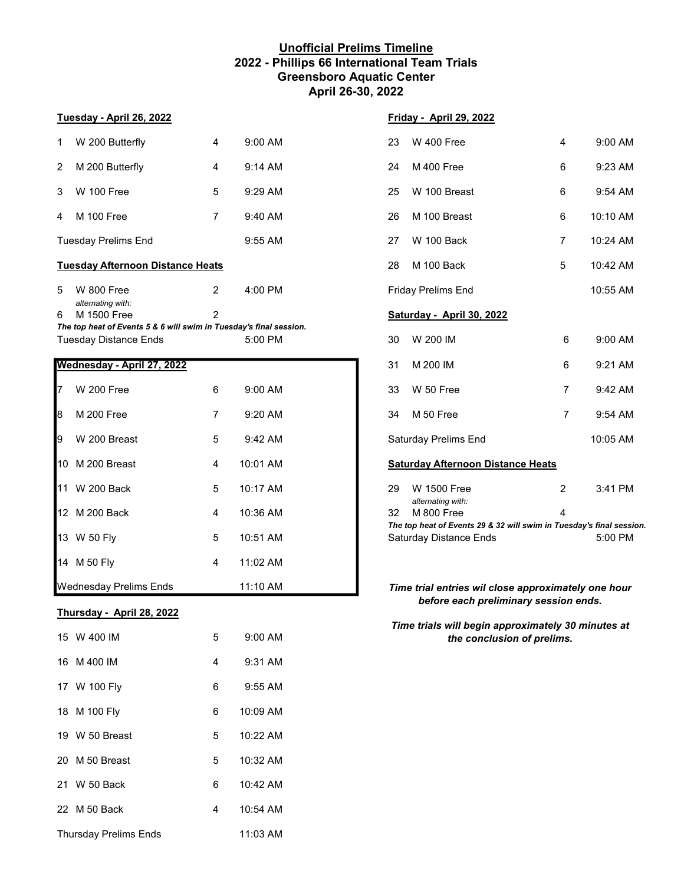### **Unofficial Prelims Timeline 2022 - Phillips 66 International Team Trials Greensboro Aquatic Center April 26-30, 2022**

# 1 W 200 Butterfly 4 9:00 AM 2 M 200 Butterfly 4 9:14 AM 3 W 100 Free 5 9:29 AM 25 W 100 Breast 6 9:54 AM 4 M 100 Free 7 9:40 AM 26 M 100 Breast 6 10:10 AM Tuesday Prelims End 9:55 AM **Tuesday Afternoon Distance Heats** 5 W 800 Free 2 4:00 PM *alternating with:* 6 M 1500 Free 2 4:26 PM **Saturday - April 30, 2022** *The top heat of Events 5 & 6 will swim in Tuesday's final session.* Tuesday Distance Ends 5:00 PM **Wednesday - April 27, 2022**

| 17<br><b>W</b> 200 Free       | 6              | 9:00 AM  | W 50 Free<br>33                                                                       | 7              | 9:42 AM  |
|-------------------------------|----------------|----------|---------------------------------------------------------------------------------------|----------------|----------|
| l8<br><b>M 200 Free</b>       | $\overline{7}$ | 9:20 AM  | M 50 Free<br>34                                                                       | $\overline{7}$ | 9:54 AM  |
| <b>I</b> 9<br>W 200 Breast    | 5              | 9:42 AM  | <b>Saturday Prelims End</b>                                                           |                | 10:05 AM |
| 10 M 200 Breast               | 4              | 10:01 AM | <b>Saturday Afternoon Distance Heats</b>                                              |                |          |
| 11 W 200 Back                 | 5              | 10:17 AM | <b>W</b> 1500 Free<br>29<br>alternating with:                                         | 2              | 3:41 PM  |
| 12 M 200 Back                 | 4              | 10:36 AM | 32<br>M 800 Free<br>The top heat of Events 29 & 32 will swim in Tuesday's final sessi | 4              |          |
| 13 W 50 Fly                   | 5              | 10:51 AM | <b>Saturday Distance Ends</b>                                                         |                | 5:00 PM  |
| 14 M 50 Fly                   | 4              | 11:02 AM |                                                                                       |                |          |
| <b>Wednesday Prelims Ends</b> |                | 11:10 AM | Time trial entries wil close approximately one hour                                   |                |          |

### **Thursday - April 28, 2022**

| 15 W 400 IM                  | 5 | $9:00$ AM            |
|------------------------------|---|----------------------|
| 16 M 400 IM                  | 4 | $9:31$ AM            |
| 17 W 100 Fly                 | 6 | $9:55$ AM            |
| 18 M 100 Fly                 | 6 | 10:09 AM             |
| 19 W 50 Breast               | 5 | 10:22 AM             |
| 20 M 50 Breast               | 5 | 10:32 AM             |
| 21 W 50 Back                 | 6 | $10:42 \, \text{AM}$ |
| 22 M 50 Back                 | 4 | $10:54$ AM           |
| <b>Thursday Prelims Ends</b> |   | 11:03 AM             |

### **Tuesday - April 26, 2022 Friday - April 29, 2022**

| 23 | W 400 Free         | 4 | $9:00$ AM            |
|----|--------------------|---|----------------------|
| 24 | <b>M</b> 400 Free  | 6 | $9:23$ AM            |
| 25 | W 100 Breast       | 6 | $9:54$ AM            |
| 26 | M 100 Breast       | 6 | $10:10$ AM           |
| 27 | W 100 Back         | 7 | $10:24$ AM           |
| 28 | <b>M</b> 100 Back  | 5 | $10:42 \, \text{AM}$ |
|    | Friday Prelims End |   | 10:55 AM             |

| 30 | W 200 IM                                 | 6 | $9:00$ AM           |  |  |  |
|----|------------------------------------------|---|---------------------|--|--|--|
| 31 | M 200 IM                                 | 6 | $9:21$ AM           |  |  |  |
| 33 | W 50 Free                                | 7 | $9:42 \, \text{AM}$ |  |  |  |
| 34 | M 50 Free                                | 7 | $9:54$ AM           |  |  |  |
|    | <b>Saturday Prelims End</b>              |   | 10:05 AM            |  |  |  |
|    | <b>Saturday Afternoon Distance Heats</b> |   |                     |  |  |  |
| 29 | W 1500 Free                              | 2 | $3:41$ PM           |  |  |  |

*alternating with:* 12 M 800 Free 4 *The top heat of Events 29 & 32 will swim in Tuesday's final session.* Saturday Distance Ends 5:00 PM

### *Time trial entries wil close approximately one hour before each preliminary session ends.*

### *Time trials will begin approximately 30 minutes at the conclusion of prelims.*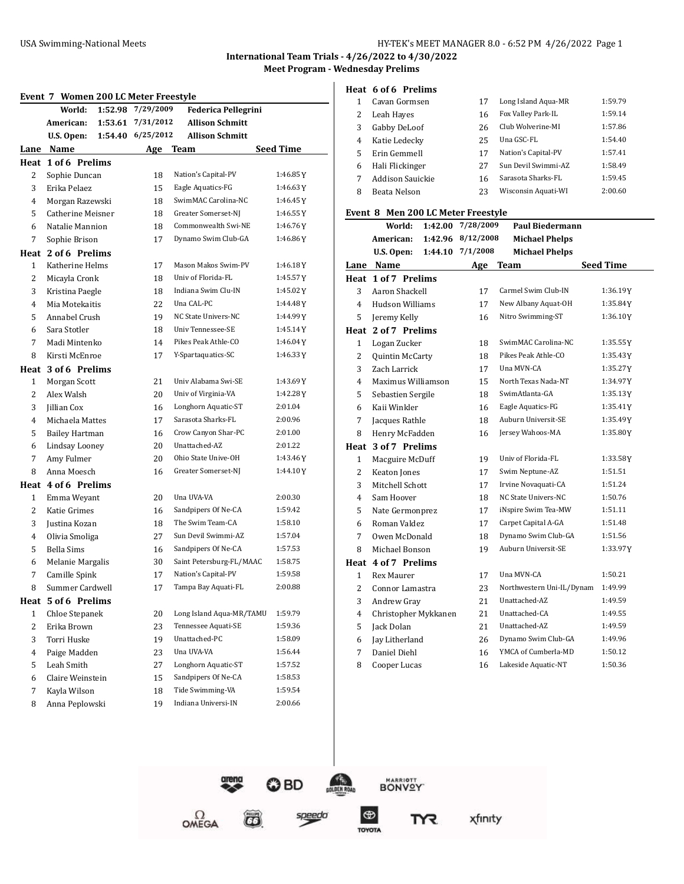#### USA Swimming-National Meets **HY-TEK's MEET MANAGER 8.0 - 6:52 PM 4/26/2022** Page 1

**International Team Trials - 4/26/2022 to 4/30/2022**

**Meet Program - Wednesday Prelims**

#### **Event 7 Women 200 LC Meter Freestyle**

| иvс. ,         | women 200 Be Meter Treestyle<br>1:52.98<br>World: | 7/29/2009  | <b>Federica Pellegrini</b> |                  |
|----------------|---------------------------------------------------|------------|----------------------------|------------------|
|                | American:<br>1:53.61                              | 7/31/2012  | <b>Allison Schmitt</b>     |                  |
|                | U.S. Open:<br>1:54.40                             | 6/25/2012  | <b>Allison Schmitt</b>     |                  |
|                | Lane Name                                         | <u>Age</u> | Team                       | <b>Seed Time</b> |
|                | Heat 1 of 6 Prelims                               |            |                            |                  |
| 2              | Sophie Duncan                                     | 18         | Nation's Capital-PV        | 1:46.85Y         |
| 3              | Erika Pelaez                                      | 15         | Eagle Aquatics-FG          | 1:46.63Y         |
| 4              | Morgan Razewski                                   | 18         | SwimMAC Carolina-NC        | 1:46.45Y         |
| 5              | Catherine Meisner                                 | 18         | Greater Somerset-NJ        | 1:46.55Y         |
| 6              | Natalie Mannion                                   | 18         | Commonwealth Swi-NE        | 1:46.76Y         |
| 7              | Sophie Brison                                     | 17         | Dynamo Swim Club-GA        | 1:46.86Y         |
|                | Heat 2 of 6 Prelims                               |            |                            |                  |
| 1              | Katherine Helms                                   | 17         | Mason Makos Swim-PV        | 1:46.18Y         |
| 2              | Micayla Cronk                                     | 18         | Univ of Florida-FL         | 1:45.57Y         |
| 3              | Kristina Paegle                                   | 18         | Indiana Swim Clu-IN        | 1:45.02Y         |
| 4              | Mia Motekaitis                                    | 22         | Una CAL-PC                 | 1:44.48 Y        |
| 5              | Annabel Crush                                     | 19         | NC State Univers-NC        | 1:44.99 Y        |
| 6              | Sara Stotler                                      | 18         | Univ Tennessee-SE          | 1:45.14Y         |
| 7              | Madi Mintenko                                     | 14         | Pikes Peak Athle-CO        | 1:46.04Y         |
| 8              | Kirsti McEnroe                                    | 17         | Y-Spartaquatics-SC         | 1:46.33Y         |
| Heat           | 3 of 6 Prelims                                    |            |                            |                  |
| 1              | Morgan Scott                                      | 21         | Univ Alabama Swi-SE        | 1:43.69Y         |
| 2              | Alex Walsh                                        | 20         | Univ of Virginia-VA        | 1:42.28Y         |
| 3              | Jillian Cox                                       | 16         | Longhorn Aquatic-ST        | 2:01.04          |
| 4              | Michaela Mattes                                   | 17         | Sarasota Sharks-FL         | 2:00.96          |
| 5              | <b>Bailey Hartman</b>                             | 16         | Crow Canyon Shar-PC        | 2:01.00          |
| 6              | Lindsay Looney                                    | 20         | Unattached-AZ              | 2:01.22          |
| 7              | Amy Fulmer                                        | 20         | Ohio State Unive-OH        | 1:43.46 Y        |
| 8              | Anna Moesch                                       | 16         | Greater Somerset-NJ        | 1:44.10Y         |
|                | Heat 4 of 6 Prelims                               |            |                            |                  |
| 1              | Emma Weyant                                       | 20         | Una UVA-VA                 | 2:00.30          |
| 2              | Katie Grimes                                      | 16         | Sandpipers Of Ne-CA        | 1:59.42          |
| 3              | Justina Kozan                                     | 18         | The Swim Team-CA           | 1:58.10          |
| 4              | Olivia Smoliga                                    | 27         | Sun Devil Swimmi-AZ        | 1:57.04          |
| 5              | Bella Sims                                        | 16         | Sandpipers Of Ne-CA        | 1:57.53          |
| 6              | Melanie Margalis                                  | 30         | Saint Petersburg-FL/MAAC   | 1:58.75          |
| 7              | Camille Spink                                     | 17         | Nation's Capital-PV        | 1:59.58          |
| 8              | Summer Cardwell                                   | 17         | Tampa Bay Aquati-FL        | 2:00.88          |
| Heat           | 5 of 6 Prelims                                    |            |                            |                  |
| 1              | Chloe Stepanek                                    | 20         | Long Island Aqua-MR/TAMU   | 1:59.79          |
| $\overline{c}$ | Erika Brown                                       | 23         | Tennessee Aquati-SE        | 1:59.36          |
| 3              | Torri Huske                                       | 19         | Unattached-PC              | 1:58.09          |
| $\overline{4}$ | Paige Madden                                      | 23         | Una UVA-VA                 | 1:56.44          |
| 5              | Leah Smith                                        | 27         | Longhorn Aquatic-ST        | 1:57.52          |
| 6              | Claire Weinstein                                  | 15         | Sandpipers Of Ne-CA        | 1:58.53          |
| 7              | Kayla Wilson                                      | 18         | Tide Swimming-VA           | 1:59.54          |
| 8              | Anna Peplowski                                    | 19         | Indiana Universi-IN        | 2:00.66          |

| Heat 6 of 6 Prelims |    |                       |         |
|---------------------|----|-----------------------|---------|
| 1 Cavan Gormsen     | 17 | Long Island Aqua-MR   | 1:59.79 |
| 2 Leah Hayes        |    | 16 Fox Valley Park-IL | 1:59.14 |

| 3 | Gabby DeLoof      | 26 | Club Wolverine-MI   | 1:57.86 |
|---|-------------------|----|---------------------|---------|
| 4 | Katie Ledecky     | 25 | Una GSC-FL          | 1:54.40 |
|   | 5 Erin Gemmell    | 17 | Nation's Capital-PV | 1:57.41 |
|   | 6 Hali Flickinger | 27 | Sun Devil Swimmi-AZ | 1:58.49 |
| 7 | Addison Sauickie  | 16 | Sarasota Sharks-FL  | 1:59.45 |
| 8 | Beata Nelson      | 23 | Wisconsin Aquati-WI | 2:00.60 |

#### **Event 8 Men 200 LC Meter Freestyle**

|                | World:<br>1:42.00      | 7/28/2009 | <b>Paul Biedermann</b>    |                  |
|----------------|------------------------|-----------|---------------------------|------------------|
|                | American:<br>1:42.96   | 8/12/2008 | <b>Michael Phelps</b>     |                  |
|                | U.S. Open:<br>1:44.10  | 7/1/2008  | <b>Michael Phelps</b>     |                  |
|                | Lane Name              | Age       | Team                      | <b>Seed Time</b> |
|                | Heat 1 of 7 Prelims    |           |                           |                  |
| 3              | Aaron Shackell         | 17        | Carmel Swim Club-IN       | 1:36.19Y         |
| $\overline{4}$ | <b>Hudson Williams</b> | 17        | New Albany Aquat-OH       | 1:35.84Y         |
| 5              | Jeremy Kelly           | 16        | Nitro Swimming-ST         | 1:36.10Y         |
| Heat           | 2 of 7 Prelims         |           |                           |                  |
| $\mathbf{1}$   | Logan Zucker           | 18        | SwimMAC Carolina-NC       | 1:35.55 Y        |
| $\overline{2}$ | Quintin McCarty        | 18        | Pikes Peak Athle-CO       | 1:35.43 Y        |
| 3              | Zach Larrick           | 17        | Una MVN-CA                | 1:35.27Y         |
| $\overline{4}$ | Maximus Williamson     | 15        | North Texas Nada-NT       | 1:34.97Y         |
| 5              | Sebastien Sergile      | 18        | SwimAtlanta-GA            | 1:35.13Y         |
| 6              | Kaii Winkler           | 16        | Eagle Aquatics-FG         | 1:35.41Y         |
| 7              | Jacques Rathle         | 18        | Auburn Universit-SE       | 1:35.49Y         |
| 8              | Henry McFadden         | 16        | Jersey Wahoos-MA          | 1:35.80Y         |
| Heat           | 3 of 7 Prelims         |           |                           |                  |
| $\mathbf{1}$   | Macguire McDuff        | 19        | Univ of Florida-FL        | 1:33.58Y         |
| $\overline{2}$ | Keaton Jones           | 17        | Swim Neptune-AZ           | 1:51.51          |
| 3              | Mitchell Schott        | 17        | Irvine Novaquati-CA       | 1:51.24          |
| 4              | Sam Hoover             | 18        | NC State Univers-NC       | 1:50.76          |
| 5              | Nate Germonprez        | 17        | iNspire Swim Tea-MW       | 1:51.11          |
| 6              | Roman Valdez           | 17        | Carpet Capital A-GA       | 1:51.48          |
| 7              | Owen McDonald          | 18        | Dynamo Swim Club-GA       | 1:51.56          |
| 8              | Michael Bonson         | 19        | Auburn Universit-SE       | 1:33.97Y         |
|                | Heat 4 of 7 Prelims    |           |                           |                  |
| 1              | <b>Rex Maurer</b>      | 17        | Una MVN-CA                | 1:50.21          |
| 2              | Connor Lamastra        | 23        | Northwestern Uni-IL/Dynam | 1:49.99          |
| 3              | Andrew Gray            | 21        | Unattached-AZ             | 1:49.59          |
| 4              | Christopher Mykkanen   | 21        | Unattached-CA             | 1:49.55          |
| 5              | Jack Dolan             | 21        | Unattached-AZ             | 1:49.59          |
| 6              | Jay Litherland         | 26        | Dynamo Swim Club-GA       | 1:49.96          |
| 7              | Daniel Diehl           | 16        | YMCA of Cumberla-MD       | 1:50.12          |
| 8              | Cooper Lucas           | 16        | Lakeside Aquatic-NT       | 1:50.36          |

0 BD

 $\vec{\boldsymbol{\omega}}$ 

 $\Omega_{\text{MEGA}}$ 



 $\bigcirc$ 

TOYOTA

**LDEN** 

speedo

xfinity

TYR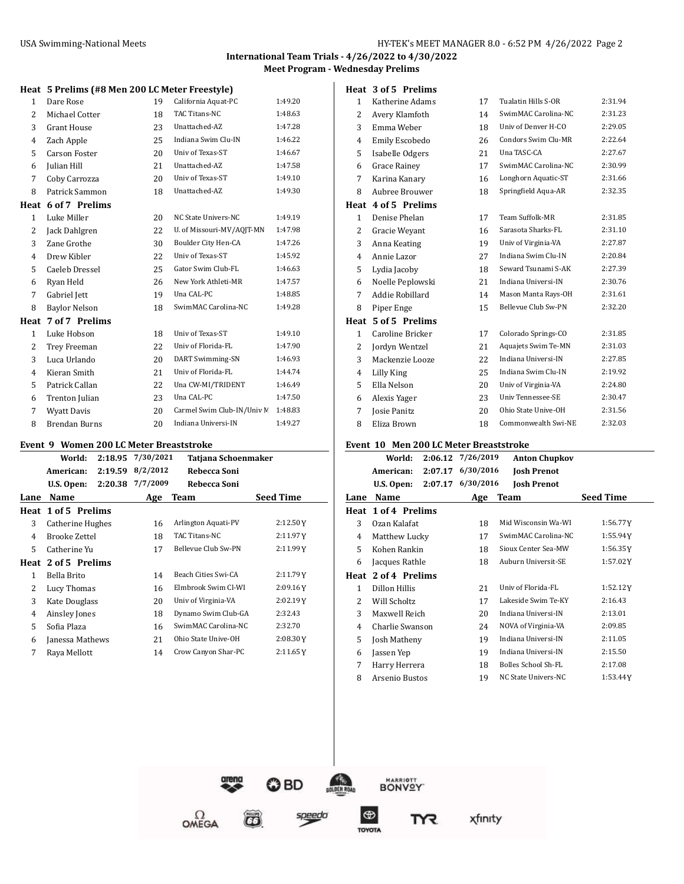## **International Team Trials - 4/26/2022 to 4/30/2022**

**Meet Program - Wednesday Prelims**

**Heat 3 of 5 Prelims**

#### **Heat 5 Prelims (#8 Men 200 LC Meter Freestyle)**

| 1              | Dare Rose            | 19 | California Aquat-PC        | 1:49.20 |
|----------------|----------------------|----|----------------------------|---------|
| $\overline{2}$ | Michael Cotter       | 18 | <b>TAC Titans-NC</b>       | 1:48.63 |
| 3              | <b>Grant House</b>   | 23 | Unattached-AZ              | 1:47.28 |
| 4              | Zach Apple           | 25 | Indiana Swim Clu-IN        | 1:46.22 |
| 5              | <b>Carson Foster</b> | 20 | Univ of Texas-ST           | 1:46.67 |
| 6              | Julian Hill          | 21 | Unattached-AZ              | 1:47.58 |
| 7              | Coby Carrozza        | 20 | Univ of Texas-ST           | 1:49.10 |
| 8              | Patrick Sammon       | 18 | Unattached-AZ              | 1:49.30 |
| Heat           | 6 of 7 Prelims       |    |                            |         |
| $\mathbf{1}$   | Luke Miller          | 20 | NC State Univers-NC        | 1:49.19 |
| 2              | Jack Dahlgren        | 22 | U. of Missouri-MV/AQJT-MN  | 1:47.98 |
| 3              | Zane Grothe          | 30 | Boulder City Hen-CA        | 1:47.26 |
| 4              | Drew Kibler          | 22 | Univ of Texas-ST           | 1:45.92 |
| 5              | Caeleb Dressel       | 25 | Gator Swim Club-FL         | 1:46.63 |
| 6              | Ryan Held            | 26 | New York Athleti-MR        | 1:47.57 |
| 7              | Gabriel Jett         | 19 | Una CAL-PC                 | 1:48.85 |
| 8              | <b>Baylor Nelson</b> | 18 | SwimMAC Carolina-NC        | 1:49.28 |
|                | Heat 7 of 7 Prelims  |    |                            |         |
| $\mathbf{1}$   | Luke Hobson          | 18 | Univ of Texas-ST           | 1:49.10 |
| 2              | Trey Freeman         | 22 | Univ of Florida-FL         | 1:47.90 |
| 3              | Luca Urlando         | 20 | DART Swimming-SN           | 1:46.93 |
| 4              | Kieran Smith         | 21 | Univ of Florida-FL         | 1:44.74 |
| 5              | Patrick Callan       | 22 | Una CW-MI/TRIDENT          | 1:46.49 |
| 6              | Trenton Julian       | 23 | Una CAL-PC                 | 1:47.50 |
| 7              | <b>Wyatt Davis</b>   | 20 | Carmel Swim Club-IN/Univ M | 1:48.83 |
| 8              | <b>Brendan Burns</b> | 20 | Indiana Universi-IN        | 1:49.27 |

#### **Event 9 Women 200 LC Meter Breaststroke**

|      | вуене эт уусинен доо ве месет вгеазсы оке |           |                     |                  |
|------|-------------------------------------------|-----------|---------------------|------------------|
|      | World:<br>2:18.95                         | 7/30/2021 | Tatjana Schoenmaker |                  |
|      | 2:19.59<br>American:                      | 8/2/2012  | Rebecca Soni        |                  |
|      | 2:20.38<br>U.S. Open:                     | 7/7/2009  | Rebecca Soni        |                  |
| Lane | Name                                      | Age       | Team                | <b>Seed Time</b> |
|      | Heat 1 of 5 Prelims                       |           |                     |                  |
| 3    | Catherine Hughes                          | 16        | Arlington Aquati-PV | 2:12.50Y         |
| 4    | Brooke Zettel                             | 18        | TAC Titans-NC       | 2:11.97Y         |
| 5    | Catherine Yu                              | 17        | Bellevue Club Sw-PN | 2:11.99Y         |
|      | Heat 2 of 5 Prelims                       |           |                     |                  |
| 1    | Bella Brito                               | 14        | Beach Cities Swi-CA | 2:11.79Y         |
| 2    | Lucy Thomas                               | 16        | Elmbrook Swim Cl-WI | 2:09.16Y         |
| 3    | Kate Douglass                             | 20        | Univ of Virginia-VA | 2:02.19Y         |
| 4    | Ainsley Jones                             | 18        | Dynamo Swim Club-GA | 2:32.43          |
| 5    | Sofia Plaza                               | 16        | SwimMAC Carolina-NC | 2:32.70          |
| 6    | Janessa Mathews                           | 21        | Ohio State Unive-OH | 2:08.30Y         |
| 7    | Raya Mellott                              | 14        | Crow Canyon Shar-PC | 2:11.65Y         |
|      |                                           |           |                     |                  |

 $\Omega$ OMEGA

| 1            | Katherine Adams  | 17 | <b>Tualatin Hills S-OR</b> | 2:31.94 |
|--------------|------------------|----|----------------------------|---------|
| 2            | Avery Klamfoth   | 14 | SwimMAC Carolina-NC        | 2:31.23 |
| 3            | Emma Weber       | 18 | Univ of Denver H-CO        | 2:29.05 |
| 4            | Emily Escobedo   | 26 | Condors Swim Clu-MR        | 2:22.64 |
| 5            | Isabelle Odgers  | 21 | Una TASC-CA                | 2:27.67 |
| 6            | Grace Rainey     | 17 | SwimMAC Carolina-NC        | 2:30.99 |
| 7            | Karina Kanary    | 16 | Longhorn Aquatic-ST        | 2:31.66 |
| 8            | Aubree Brouwer   | 18 | Springfield Aqua-AR        | 2:32.35 |
| Heat         | 4 of 5 Prelims   |    |                            |         |
| $\mathbf{1}$ | Denise Phelan    | 17 | Team Suffolk-MR            | 2:31.85 |
| 2            | Gracie Weyant    | 16 | Sarasota Sharks-FL         | 2:31.10 |
| 3            | Anna Keating     | 19 | Univ of Virginia-VA        | 2:27.87 |
| 4            | Annie Lazor      | 27 | Indiana Swim Clu-IN        | 2:20.84 |
| 5            | Lydia Jacoby     | 18 | Seward Tsunami S-AK        | 2:27.39 |
| 6            | Noelle Peplowski | 21 | Indiana Universi-IN        | 2:30.76 |
| 7            | Addie Robillard  | 14 | Mason Manta Rays-OH        | 2:31.61 |
| 8            | Piper Enge       | 15 | Bellevue Club Sw-PN        | 2:32.20 |
| Heat         | 5 of 5 Prelims   |    |                            |         |
| $\mathbf{1}$ | Caroline Bricker | 17 | Colorado Springs-CO        | 2:31.85 |
| 2            | Jordyn Wentzel   | 21 | Aquajets Swim Te-MN        | 2:31.03 |
| 3            | Mackenzie Looze  | 22 | Indiana Universi-IN        | 2:27.85 |
| 4            | Lilly King       | 25 | Indiana Swim Clu-IN        | 2:19.92 |
| 5            | Ella Nelson      | 20 | Univ of Virginia-VA        | 2:24.80 |
| 6            | Alexis Yager     | 23 | Univ Tennessee-SE          | 2:30.47 |
| 7            | Josie Panitz     | 20 | Ohio State Unive-OH        | 2:31.56 |
| 8            | Eliza Brown      | 18 | Commonwealth Swi-NE        | 2:32.03 |

#### **Event 10 Men 200 LC Meter Breaststroke**

|               | Men 200 Be Meter Dreaststrone |                   |                      |                  |
|---------------|-------------------------------|-------------------|----------------------|------------------|
|               | World:                        | 2:06.12 7/26/2019 | <b>Anton Chupkov</b> |                  |
|               | American:                     | 2:07.17 6/30/2016 | <b>Josh Prenot</b>   |                  |
|               | U.S. Open:                    | 2:07.17 6/30/2016 | <b>Josh Prenot</b>   |                  |
| Lane          | Name                          | Age               | <b>Team</b>          | <b>Seed Time</b> |
|               | Heat 1 of 4 Prelims           |                   |                      |                  |
| 3             | Ozan Kalafat                  | 18                | Mid Wisconsin Wa-WI  | 1:56.77Y         |
| 4             | Matthew Lucky                 | 17                | SwimMAC Carolina-NC  | 1:55.94Y         |
| 5             | Kohen Rankin                  | 18                | Sioux Center Sea-MW  | 1:56.35Y         |
| 6             | Jacques Rathle                | 18                | Auburn Universit-SE  | 1:57.02Y         |
| Heat          | 2 of 4 Prelims                |                   |                      |                  |
| $\mathbf{1}$  | Dillon Hillis                 | 21                | Univ of Florida-FL   | 1:52.12Y         |
| $\mathcal{L}$ | Will Scholtz                  | 17                | Lakeside Swim Te-KY  | 2:16.43          |
| 3             | Maxwell Reich                 | 20                | Indiana Universi-IN  | 2:13.01          |
| 4             | Charlie Swanson               | 24                | NOVA of Virginia-VA  | 2:09.85          |
| 5             | Josh Matheny                  | 19                | Indiana Universi-IN  | 2:11.05          |
| 6             | Jassen Yep                    | 19                | Indiana Universi-IN  | 2:15.50          |
| 7             | Harry Herrera                 | 18                | Bolles School Sh-FL  | 2:17.08          |
| 8             | Arsenio Bustos                | 19                | NC State Univers-NC  | 1:53.44Y         |

© BD

 $\overline{G}$ 



 $\bigcirc$ 

TOYOTA

**LDEN** 

speeda

xfinity

TYR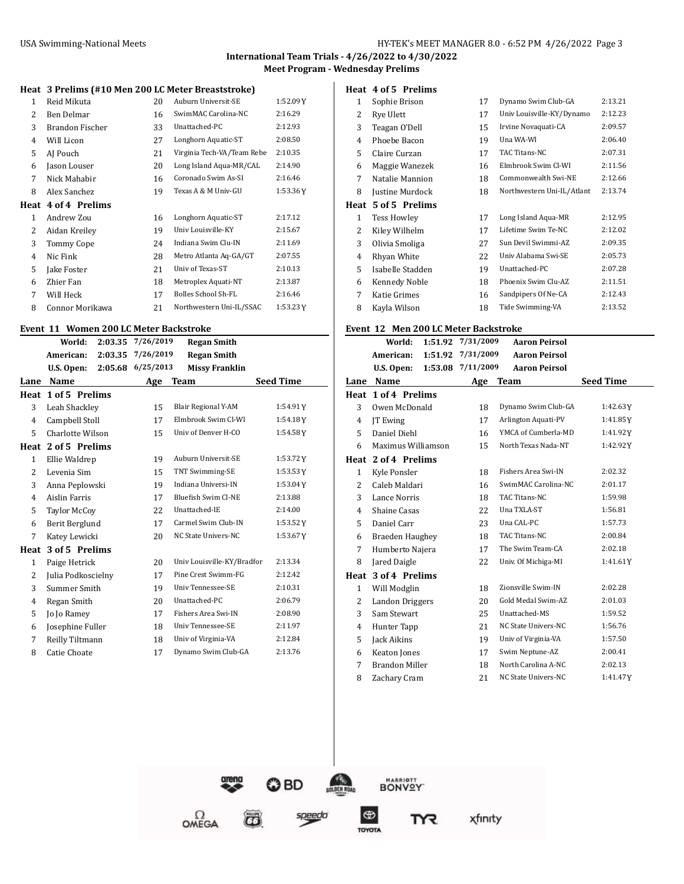**International Team Trials - 4/26/2022 to 4/30/2022**

**Meet Program - Wednesday Prelims**

#### **Heat 3 Prelims (#10 Men 200 LC Meter Breaststroke)**

| 1    | Reid Mikuta       | 20 | Auburn Universit-SE        | 1:52.09Y |
|------|-------------------|----|----------------------------|----------|
| 2    | Ben Delmar        | 16 | SwimMAC Carolina-NC        | 2:16.29  |
| 3    | Brandon Fischer   | 33 | Unattached-PC              | 2:12.93  |
| 4    | Will Licon        | 27 | Longhorn Aquatic-ST        | 2:08.50  |
| 5    | AJ Pouch          | 21 | Virginia Tech-VA/Team Rebe | 2:10.35  |
| 6    | Jason Louser      | 20 | Long Island Aqua-MR/CAL    | 2:14.90  |
| 7    | Nick Mahabir      | 16 | Coronado Swim As-SI        | 2:16.46  |
| 8    | Alex Sanchez      | 19 | Texas A & M Univ-GU        | 1:53.36Y |
| Heat | 4 of 4 Prelims    |    |                            |          |
| 1    | Andrew Zou        | 16 | Longhorn Aquatic-ST        | 2:17.12  |
| 2    | Aidan Kreiley     | 19 | Univ Louisville-KY         | 2:15.67  |
| 3    | <b>Tommy Cope</b> | 24 | Indiana Swim Clu-IN        | 2:11.69  |
| 4    | Nic Fink          | 28 | Metro Atlanta Aq-GA/GT     | 2:07.55  |
| 5    | Jake Foster       | 21 | Univ of Texas-ST           | 2:10.13  |
| 6    | Zhier Fan         | 18 | Metroplex Aquati-NT        | 2:13.87  |
| 7    | Will Heck         | 17 | Bolles School Sh-FL        | 2:16.46  |
| 8    | Connor Morikawa   | 21 | Northwestern Uni-IL/SSAC   | 1:53.23Y |

#### **Event 11 Women 200 LC Meter Backstroke**

|              | World:<br>2:03.35     | 7/26/2019 | <b>Regan Smith</b>         |                  |
|--------------|-----------------------|-----------|----------------------------|------------------|
|              | American:<br>2:03.35  | 7/26/2019 | <b>Regan Smith</b>         |                  |
|              | U.S. Open:<br>2:05.68 | 6/25/2013 | <b>Missy Franklin</b>      |                  |
| Lane         | Name                  | Age       | Team                       | <b>Seed Time</b> |
| Heat         | 1 of 5 Prelims        |           |                            |                  |
| 3            | Leah Shackley         | 15        | Blair Regional Y-AM        | 1:54.91Y         |
| 4            | Campbell Stoll        | 17        | Elmbrook Swim Cl-WI        | 1:54.18Y         |
| 5            | Charlotte Wilson      | 15        | Univ of Denver H-CO        | 1:54.58Y         |
|              | Heat 2 of 5 Prelims   |           |                            |                  |
| $\mathbf{1}$ | Ellie Waldrep         | 19        | Auburn Universit-SE        | 1:53.72Y         |
| 2            | Levenia Sim           | 15        | TNT Swimming-SE            | 1:53.53Y         |
| 3            | Anna Peplowski        | 19        | Indiana Universi-IN        | 1:53.04Y         |
| 4            | Aislin Farris         | 17        | <b>Bluefish Swim Cl-NE</b> | 2:13.88          |
| 5            | <b>Taylor McCoy</b>   | 22        | Unattached-IE              | 2:14.00          |
| 6            | Berit Berglund        | 17        | Carmel Swim Club-IN        | 1:53.52Y         |
| 7            | Katev Lewicki         | 20        | NC State Univers-NC        | $1:53.67$ Y      |
| Heat         | 3 of 5 Prelims        |           |                            |                  |
| $\mathbf{1}$ | Paige Hetrick         | 20        | Univ Louisville-KY/Bradfor | 2:13.34          |
| 2            | Julia Podkoscielny    | 17        | Pine Crest Swimm-FG        | 2:12.42          |
| 3            | Summer Smith          | 19        | Univ Tennessee-SE          | 2:10.31          |
| 4            | Regan Smith           | 20        | Unattached-PC              | 2:06.79          |
| 5            | Jo Jo Ramey           | 17        | Fishers Area Swi-IN        | 2:08.90          |
| 6            | Josephine Fuller      | 18        | Univ Tennessee-SE          | 2:11.97          |
| 7            | Reilly Tiltmann       | 18        | Univ of Virginia-VA        | 2:12.84          |
| 8            | Catie Choate          | 17        | Dynamo Swim Club-GA        | 2:13.76          |

 $\Omega$ OMEGA

#### **Heat 4 of 5 Prelims**

| 1    | Sophie Brison      | 17 | Dynamo Swim Club-GA        | 2:13.21 |
|------|--------------------|----|----------------------------|---------|
| 2    | Rye Ulett          | 17 | Univ Louisville-KY/Dynamo  | 2:12.23 |
| 3    | Teagan O'Dell      | 15 | Irvine Novaquati-CA        | 2:09.57 |
| 4    | Phoebe Bacon       | 19 | Una WA-WI                  | 2:06.40 |
| 5    | Claire Curzan      | 17 | TAC Titans-NC              | 2:07.31 |
| 6    | Maggie Wanezek     | 16 | Elmbrook Swim Cl-WI        | 2:11.56 |
| 7    | Natalie Mannion    | 18 | Commonwealth Swi-NE        | 2:12.66 |
| 8    | Justine Murdock    | 18 | Northwestern Uni-IL/Atlant | 2:13.74 |
| Heat | 5 of 5 Prelims     |    |                            |         |
| 1    | <b>Tess Howley</b> | 17 | Long Island Aqua-MR        | 2:12.95 |
| 2    | Kiley Wilhelm      | 17 | Lifetime Swim Te-NC        | 2:12.02 |
| 3    | Olivia Smoliga     | 27 | Sun Devil Swimmi-AZ        | 2:09.35 |
| 4    | Rhyan White        | 22 | Univ Alabama Swi-SE        | 2:05.73 |
| 5    |                    |    | Unattached-PC              | 2:07.28 |
|      | Isabelle Stadden   | 19 |                            |         |
| 6    | Kennedy Noble      | 18 | Phoenix Swim Clu-AZ        | 2:11.51 |
| 7    | Katie Grimes       | 16 | Sandpipers Of Ne-CA        | 2:12.43 |

#### **Event 12 Men 200 LC Meter Backstroke**

|      | World:<br>1:51.92     | 7/31/2009 | <b>Aaron Peirsol</b>       |                  |
|------|-----------------------|-----------|----------------------------|------------------|
|      | American:<br>1:51.92  | 7/31/2009 | <b>Aaron Peirsol</b>       |                  |
|      | U.S. Open:<br>1:53.08 | 7/11/2009 | <b>Aaron Peirsol</b>       |                  |
| Lane | Name                  | Age       | Team                       | <b>Seed Time</b> |
| Heat | 1 of 4 Prelims        |           |                            |                  |
| 3    | Owen McDonald         | 18        | Dynamo Swim Club-GA        | 1:42.63Y         |
| 4    | <b>IT</b> Ewing       | 17        | Arlington Aquati-PV        | 1:41.85Y         |
| 5    | Daniel Diehl          | 16        | YMCA of Cumberla-MD        | 1:41.92Y         |
| 6    | Maximus Williamson    | 15        | North Texas Nada-NT        | 1:42.92Y         |
|      | Heat 2 of 4 Prelims   |           |                            |                  |
| 1    | Kyle Ponsler          | 18        | <b>Fishers Area Swi-IN</b> | 2:02.32          |
| 2    | Caleb Maldari         | 16        | SwimMAC Carolina-NC        | 2:01.17          |
| 3    | Lance Norris          | 18        | TAC Titans-NC              | 1:59.98          |
| 4    | Shaine Casas          | 22        | Una TXLA-ST                | 1:56.81          |
| 5    | Daniel Carr           | 23        | Una CAL-PC                 | 1:57.73          |
| 6    | Braeden Haughey       | 18        | TAC Titans-NC              | 2:00.84          |
| 7    | Humberto Najera       | 17        | The Swim Team-CA           | 2:02.18          |
| 8    | Jared Daigle          | 22        | Univ. Of Michiga-MI        | 1:41.61Y         |
| Heat | 3 of 4 Prelims        |           |                            |                  |
| 1    | Will Modglin          | 18        | Zionsville Swim-IN         | 2:02.28          |
| 2    | Landon Driggers       | 20        | Gold Medal Swim-AZ         | 2:01.03          |
| 3    | Sam Stewart           | 25        | Unattached-MS              | 1:59.52          |
| 4    | Hunter Tapp           | 21        | NC State Univers-NC        | 1:56.76          |
| 5    | Jack Aikins           | 19        | Univ of Virginia-VA        | 1:57.50          |
| 6    | Keaton Jones          | 17        | Swim Neptune-AZ            | 2:00.41          |
| 7    | <b>Brandon Miller</b> | 18        | North Carolina A-NC        | 2:02.13          |
| 8    | Zachary Cram          | 21        | <b>NC State Univers-NC</b> | 1:41.47Y         |

© BD

 $\overline{\boldsymbol{\omega}}$ 

speeda



TOYOTA

xfinity

m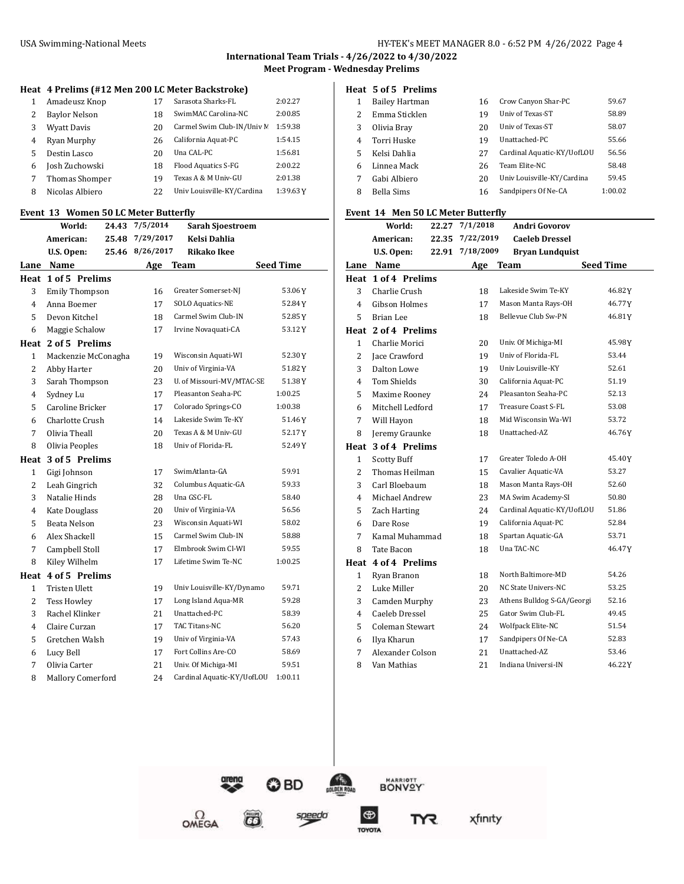**International Team Trials - 4/26/2022 to 4/30/2022 Meet Program - Wednesday Prelims**

#### **Heat 4 Prelims (#12 Men 200 LC Meter Backstroke)**

| 1 | Amadeusz Knop         | 17 | Sarasota Sharks-FL         | 2:02.27  |
|---|-----------------------|----|----------------------------|----------|
| 2 | Baylor Nelson         | 18 | SwimMAC Carolina-NC        | 2:00.85  |
| 3 | <b>Wyatt Davis</b>    | 20 | Carmel Swim Club-IN/Univ M | 1:59.38  |
| 4 | Ryan Murphy           | 26 | California Aquat-PC        | 1:54.15  |
| 5 | Destin Lasco          | 20 | Una CAL-PC                 | 1:56.81  |
| 6 | Josh Zuchowski        | 18 | Flood Aquatics S-FG        | 2:00.22  |
|   | <b>Thomas Shomper</b> | 19 | Texas A & M Univ-GU        | 2:01.38  |
| 8 | Nicolas Albiero       | 22 | Univ Louisville-KY/Cardina | 1:39.63Y |

#### **Event 13 Women 50 LC Meter Butterfly**

|                | World:<br>24.43       | 7/5/2014<br><b>Sarah Sjoestroem</b> |                            |                  |
|----------------|-----------------------|-------------------------------------|----------------------------|------------------|
|                | American:<br>25.48    | 7/29/2017                           | Kelsi Dahlia               |                  |
|                | U.S. Open:<br>25.46   | 8/26/2017                           | <b>Rikako Ikee</b>         |                  |
|                | Lane Name             | Age                                 | Team                       | <b>Seed Time</b> |
|                | Heat 1 of 5 Prelims   |                                     |                            |                  |
| 3              | <b>Emily Thompson</b> | 16                                  | Greater Somerset-NJ        | 53.06Y           |
| 4              | Anna Boemer           | 17                                  | SOLO Aquatics-NE           | 52.84 Y          |
| 5              | Devon Kitchel         | 18                                  | Carmel Swim Club-IN        | 52.85Y           |
| 6              | Maggie Schalow        | 17                                  | Irvine Novaquati-CA        | 53.12Y           |
| Heat           | 2 of 5 Prelims        |                                     |                            |                  |
| $\mathbf{1}$   | Mackenzie McConagha   | 19                                  | Wisconsin Aquati-WI        | 52.30Y           |
| $\overline{c}$ | Abby Harter           | 20                                  | Univ of Virginia-VA        | 51.82Y           |
| 3              | Sarah Thompson        | 23                                  | U. of Missouri-MV/MTAC-SE  | 51.38Y           |
| 4              | Sydney Lu             | 17                                  | Pleasanton Seaha-PC        | 1:00.25          |
| 5              | Caroline Bricker      | 17                                  | Colorado Springs-CO        | 1:00.38          |
| 6              | Charlotte Crush       | 14                                  | Lakeside Swim Te-KY        | 51.46Y           |
| 7              | Olivia Theall         | 20                                  | Texas A & M Univ-GU        | 52.17Y           |
| 8              | Olivia Peoples        | 18                                  | Univ of Florida-FL         | 52.49Y           |
| Heat           | 3 of 5 Prelims        |                                     |                            |                  |
| 1              | Gigi Johnson          | 17                                  | SwimAtlanta-GA             | 59.91            |
| 2              | Leah Gingrich         | 32                                  | Columbus Aquatic-GA        | 59.33            |
| 3              | Natalie Hinds         | 28                                  | Una GSC-FL                 | 58.40            |
| $\overline{4}$ | Kate Douglass         | 20                                  | Univ of Virginia-VA        | 56.56            |
| 5              | Beata Nelson          | 23                                  | Wisconsin Aquati-WI        | 58.02            |
| 6              | Alex Shackell         | 15                                  | Carmel Swim Club-IN        | 58.88            |
| 7              | Campbell Stoll        | 17                                  | Elmbrook Swim Cl-WI        | 59.55            |
| 8              | Kiley Wilhelm         | 17                                  | Lifetime Swim Te-NC        | 1:00.25          |
| Heat           | 4 of 5 Prelims        |                                     |                            |                  |
| 1              | <b>Tristen Ulett</b>  | 19                                  | Univ Louisville-KY/Dynamo  | 59.71            |
| $\overline{2}$ | <b>Tess Howley</b>    | 17                                  | Long Island Aqua-MR        | 59.28            |
| 3              | Rachel Klinker        | 21                                  | Unattached-PC              | 58.39            |
| 4              | Claire Curzan         | 17                                  | TAC Titans-NC              | 56.20            |
| 5              | Gretchen Walsh        | 19                                  | Univ of Virginia-VA        | 57.43            |
| 6              | Lucy Bell             | 17                                  | Fort Collins Are-CO        | 58.69            |
| 7              | Olivia Carter         | 21                                  | Univ. Of Michiga-MI        | 59.51            |
| 8              | Mallory Comerford     | 24                                  | Cardinal Aquatic-KY/UofLOU | 1:00.11          |
|                |                       |                                     |                            |                  |

#### **Heat 5 of 5 Prelims**

| 1 | <b>Bailey Hartman</b> | 16 | Crow Canyon Shar-PC        | 59.67   |
|---|-----------------------|----|----------------------------|---------|
| 2 | Emma Sticklen         | 19 | Univ of Texas-ST           | 58.89   |
| 3 | Olivia Bray           | 20 | Univ of Texas-ST           | 58.07   |
| 4 | Torri Huske           | 19 | Unattached-PC              | 55.66   |
| 5 | Kelsi Dahlia          | 27 | Cardinal Aquatic-KY/UofLOU | 56.56   |
| 6 | Linnea Mack           | 26 | Team Elite-NC              | 58.48   |
|   | Gabi Albiero          | 20 | Univ Louisville-KY/Cardina | 59.45   |
| 8 | Bella Sims            | 16 | Sandpipers Of Ne-CA        | 1:00.02 |

#### **Event 14 Men 50 LC Meter Butterfly**

|                | World:                 | 22.27 | 7/1/2018  | <b>Andri Govorov</b>       |                  |
|----------------|------------------------|-------|-----------|----------------------------|------------------|
|                | American:              | 22.35 | 7/22/2019 | <b>Caeleb Dressel</b>      |                  |
|                | U.S. Open:             | 22.91 | 7/18/2009 | <b>Bryan Lundquist</b>     |                  |
|                | Lane Name              |       | Age       | Team                       | <b>Seed Time</b> |
|                | Heat 1 of 4 Prelims    |       |           |                            |                  |
| 3              | Charlie Crush          |       | 18        | Lakeside Swim Te-KY        | 46.82Y           |
| 4              | <b>Gibson Holmes</b>   |       | 17        | Mason Manta Rays-OH        | 46.77Y           |
| 5              | Brian Lee              |       | 18        | Bellevue Club Sw-PN        | 46.81Y           |
| Heat           | 2 of 4 Prelims         |       |           |                            |                  |
| $\mathbf{1}$   | Charlie Morici         |       | 20        | Univ. Of Michiga-MI        | 45.98Y           |
| 2              | Jace Crawford          |       | 19        | Univ of Florida-FL         | 53.44            |
| 3              | Dalton Lowe            |       | 19        | Univ Louisville-KY         | 52.61            |
| 4              | Tom Shields            |       | 30        | California Aquat-PC        | 51.19            |
| 5              | Maxime Rooney          |       | 24        | Pleasanton Seaha-PC        | 52.13            |
| 6              | Mitchell Ledford       |       | 17        | Treasure Coast S-FL        | 53.08            |
| 7              | Will Hayon             |       | 18        | Mid Wisconsin Wa-WI        | 53.72            |
| 8              | Jeremy Graunke         |       | 18        | Unattached-AZ              | 46.76Y           |
|                | Heat 3 of 4 Prelims    |       |           |                            |                  |
| $\mathbf{1}$   | <b>Scotty Buff</b>     |       | 17        | Greater Toledo A-OH        | 45.40Y           |
| $\overline{2}$ | Thomas Heilman         |       | 15        | Cavalier Aquatic-VA        | 53.27            |
| 3              | Carl Bloebaum          |       | 18        | Mason Manta Rays-OH        | 52.60            |
| 4              | Michael Andrew         |       | 23        | MA Swim Academy-SI         | 50.80            |
| 5              | Zach Harting           |       | 24        | Cardinal Aquatic-KY/UofLOU | 51.86            |
| 6              | Dare Rose              |       | 19        | California Aquat-PC        | 52.84            |
| 7              | Kamal Muhammad         |       | 18        | Spartan Aquatic-GA         | 53.71            |
| 8              | Tate Bacon             |       | 18        | Una TAC-NC                 | 46.47Y           |
| Heat           | 4 of 4 Prelims         |       |           |                            |                  |
| 1              | Ryan Branon            |       | 18        | North Baltimore-MD         | 54.26            |
| 2              | Luke Miller            |       | 20        | NC State Univers-NC        | 53.25            |
| 3              | Camden Murphy          |       | 23        | Athens Bulldog S-GA/Georgi | 52.16            |
| $\overline{4}$ | Caeleb Dressel         |       | 25        | Gator Swim Club-FL         | 49.45            |
| 5              | <b>Coleman Stewart</b> |       | 24        | Wolfpack Elite-NC          | 51.54            |
| 6              | Ilya Kharun            |       | 17        | Sandpipers Of Ne-CA        | 52.83            |
| 7              | Alexander Colson       |       | 21        | Unattached-AZ              | 53.46            |
| 8              | Van Mathias            |       | 21        | Indiana Universi-IN        | 46.22Y           |



 $\overline{\boldsymbol{\omega}}$ 

speeda

 $\Omega_{\text{MEGA}}$ 



**BONVOY** 

xfinity